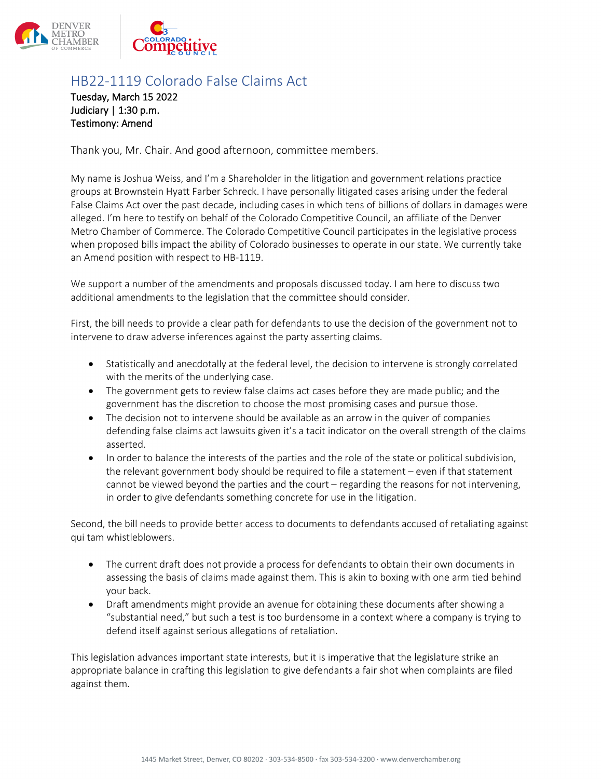



## HB22-1119 Colorado False Claims Act

Tuesday, March 15 2022 Judiciary | 1:30 p.m. Testimony: Amend

Thank you, Mr. Chair. And good afternoon, committee members.

My name is Joshua Weiss, and I'm a Shareholder in the litigation and government relations practice groups at Brownstein Hyatt Farber Schreck. I have personally litigated cases arising under the federal False Claims Act over the past decade, including cases in which tens of billions of dollars in damages were alleged. I'm here to testify on behalf of the Colorado Competitive Council, an affiliate of the Denver Metro Chamber of Commerce. The Colorado Competitive Council participates in the legislative process when proposed bills impact the ability of Colorado businesses to operate in our state. We currently take an Amend position with respect to HB-1119.

We support a number of the amendments and proposals discussed today. I am here to discuss two additional amendments to the legislation that the committee should consider.

First, the bill needs to provide a clear path for defendants to use the decision of the government not to intervene to draw adverse inferences against the party asserting claims.

- Statistically and anecdotally at the federal level, the decision to intervene is strongly correlated with the merits of the underlying case.
- The government gets to review false claims act cases before they are made public; and the government has the discretion to choose the most promising cases and pursue those.
- The decision not to intervene should be available as an arrow in the quiver of companies defending false claims act lawsuits given it's a tacit indicator on the overall strength of the claims asserted.
- In order to balance the interests of the parties and the role of the state or political subdivision, the relevant government body should be required to file a statement – even if that statement cannot be viewed beyond the parties and the court – regarding the reasons for not intervening, in order to give defendants something concrete for use in the litigation.

Second, the bill needs to provide better access to documents to defendants accused of retaliating against qui tam whistleblowers.

- The current draft does not provide a process for defendants to obtain their own documents in assessing the basis of claims made against them. This is akin to boxing with one arm tied behind your back.
- Draft amendments might provide an avenue for obtaining these documents after showing a "substantial need," but such a test is too burdensome in a context where a company is trying to defend itself against serious allegations of retaliation.

This legislation advances important state interests, but it is imperative that the legislature strike an appropriate balance in crafting this legislation to give defendants a fair shot when complaints are filed against them.